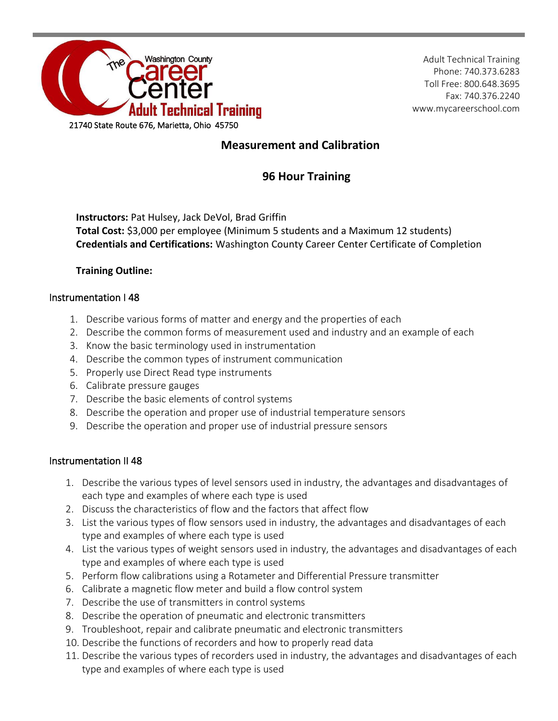

Adult Technical Training Phone: 740.373.6283 Toll Free: 800.648.3695 Fax: 740.376.2240 www.mycareerschool.com

# **Measurement and Calibration**

# **96 Hour Training**

**Instructors:** Pat Hulsey, Jack DeVol, Brad Griffin **Total Cost:** \$3,000 per employee (Minimum 5 students and a Maximum 12 students) **Credentials and Certifications:** Washington County Career Center Certificate of Completion

## **Training Outline:**

### Instrumentation I 48

- 1. Describe various forms of matter and energy and the properties of each
- 2. Describe the common forms of measurement used and industry and an example of each
- 3. Know the basic terminology used in instrumentation
- 4. Describe the common types of instrument communication
- 5. Properly use Direct Read type instruments
- 6. Calibrate pressure gauges
- 7. Describe the basic elements of control systems
- 8. Describe the operation and proper use of industrial temperature sensors
- 9. Describe the operation and proper use of industrial pressure sensors

### Instrumentation II 48

- 1. Describe the various types of level sensors used in industry, the advantages and disadvantages of each type and examples of where each type is used
- 2. Discuss the characteristics of flow and the factors that affect flow
- 3. List the various types of flow sensors used in industry, the advantages and disadvantages of each type and examples of where each type is used
- 4. List the various types of weight sensors used in industry, the advantages and disadvantages of each type and examples of where each type is used
- 5. Perform flow calibrations using a Rotameter and Differential Pressure transmitter
- 6. Calibrate a magnetic flow meter and build a flow control system
- 7. Describe the use of transmitters in control systems
- 8. Describe the operation of pneumatic and electronic transmitters
- 9. Troubleshoot, repair and calibrate pneumatic and electronic transmitters
- 10. Describe the functions of recorders and how to properly read data
- 11. Describe the various types of recorders used in industry, the advantages and disadvantages of each type and examples of where each type is used